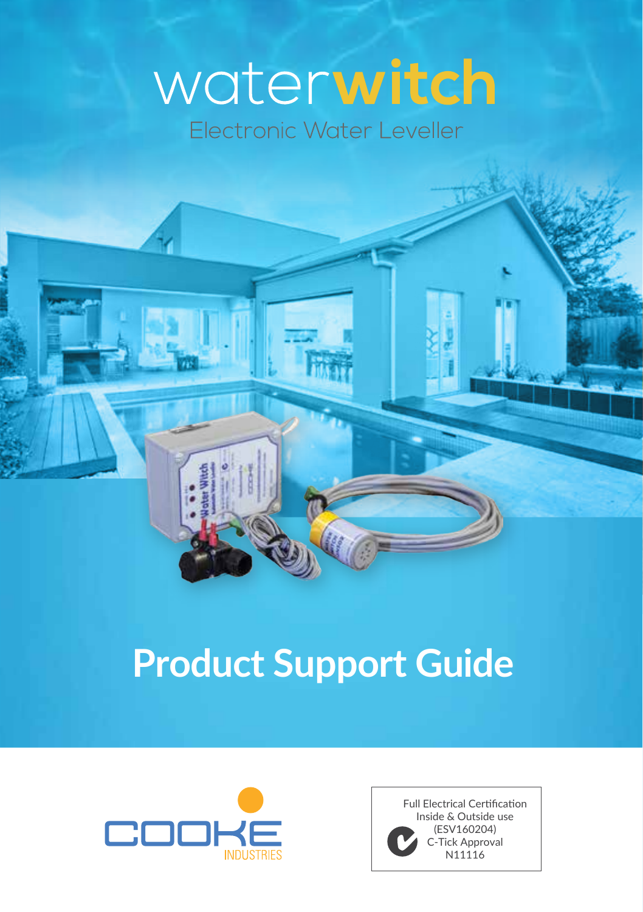# **Product Support Guide**



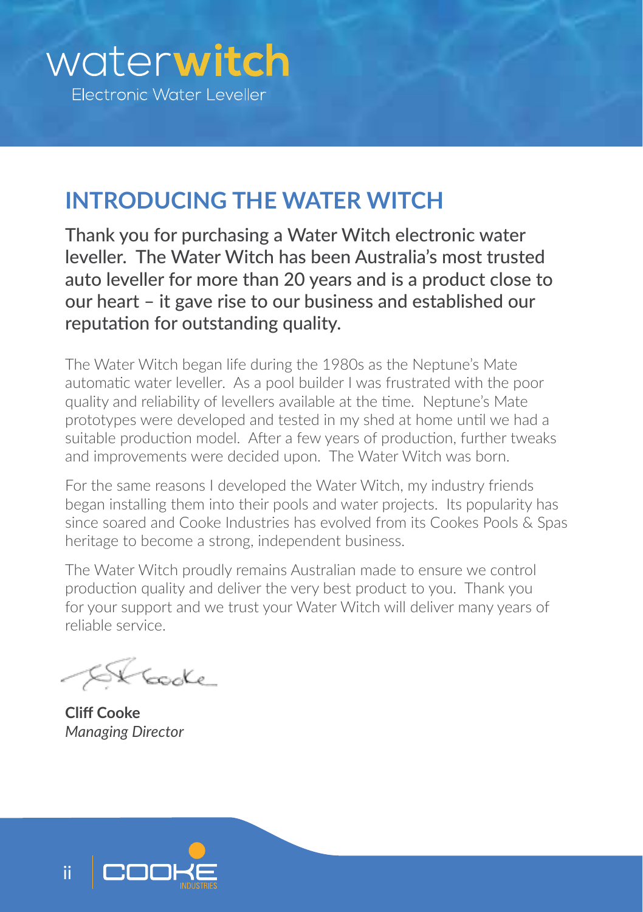# **INTRODUCING THE WATER WITCH**

Thank you for purchasing a Water Witch electronic water leveller. The Water Witch has been Australia's most trusted auto leveller for more than 20 years and is a product close to our heart – it gave rise to our business and established our reputation for outstanding quality.

The Water Witch began life during the 1980s as the Neptune's Mate automatic water leveller. As a pool builder I was frustrated with the poor quality and reliability of levellers available at the time. Neptune's Mate prototypes were developed and tested in my shed at home until we had a suitable production model. After a few years of production, further tweaks and improvements were decided upon. The Water Witch was born.

For the same reasons I developed the Water Witch, my industry friends began installing them into their pools and water projects. Its popularity has since soared and Cooke Industries has evolved from its Cookes Pools & Spas heritage to become a strong, independent business.

The Water Witch proudly remains Australian made to ensure we control production quality and deliver the very best product to you. Thank you for your support and we trust your Water Witch will deliver many years of reliable service.

Kooke

**Cliff Cooke** *Managing Director*

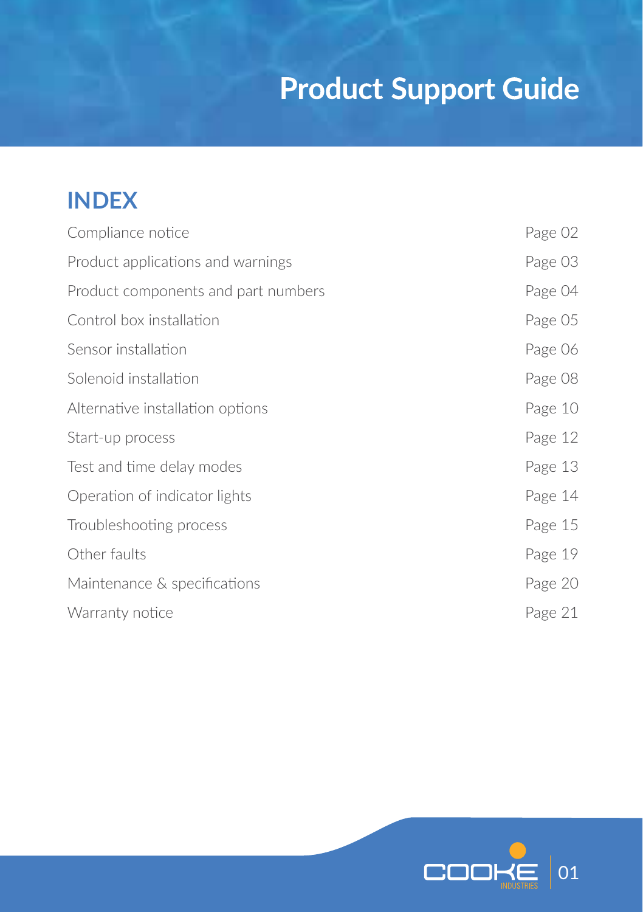## **INDEX**

| Compliance notice                   | Page 02 |
|-------------------------------------|---------|
| Product applications and warnings   | Page 03 |
| Product components and part numbers | Page 04 |
| Control box installation            | Page 05 |
| Sensor installation                 | Page 06 |
| Solenoid installation               | Page 08 |
| Alternative installation options    | Page 10 |
| Start-up process                    | Page 12 |
| Test and time delay modes           | Page 13 |
| Operation of indicator lights       | Page 14 |
| Troubleshooting process             | Page 15 |
| Other faults                        | Page 19 |
| Maintenance & specifications        | Page 20 |
| Warranty notice                     | Page 21 |
|                                     |         |

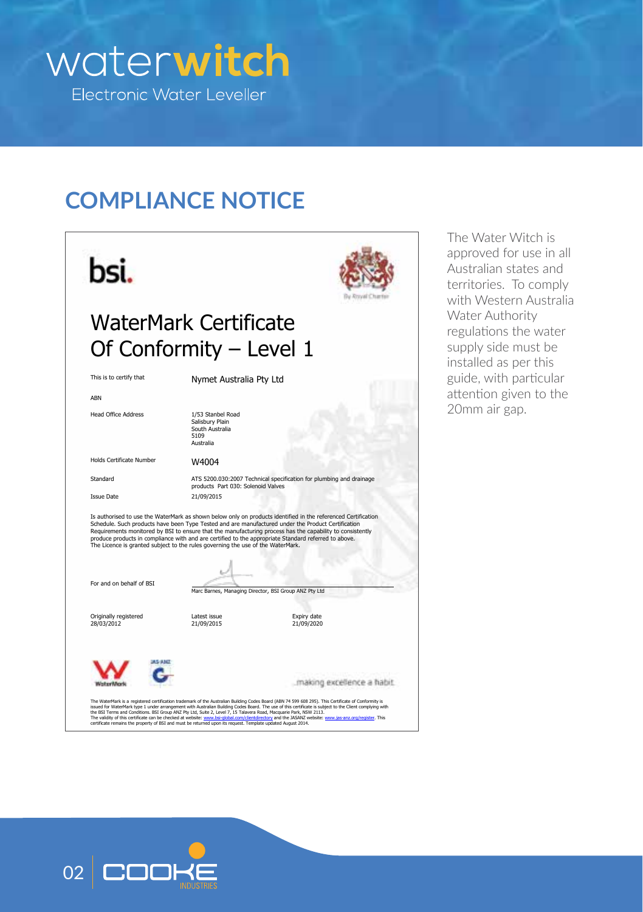

## **COMPLIANCE NOTICE**



The Water Witch is approved for use in all Australian states and territories. To comply with Western Australia Water Authority regulations the water supply side must be installed as per this guide, with particular attention given to the 20mm air gap.

The WaterNark is a registered certification trademark of the Australian Building Code at San (ABV AST). This Certificate of Conformly is<br>issued for WaterNark type 1 under arrangement with Australian Building Codes Board. T

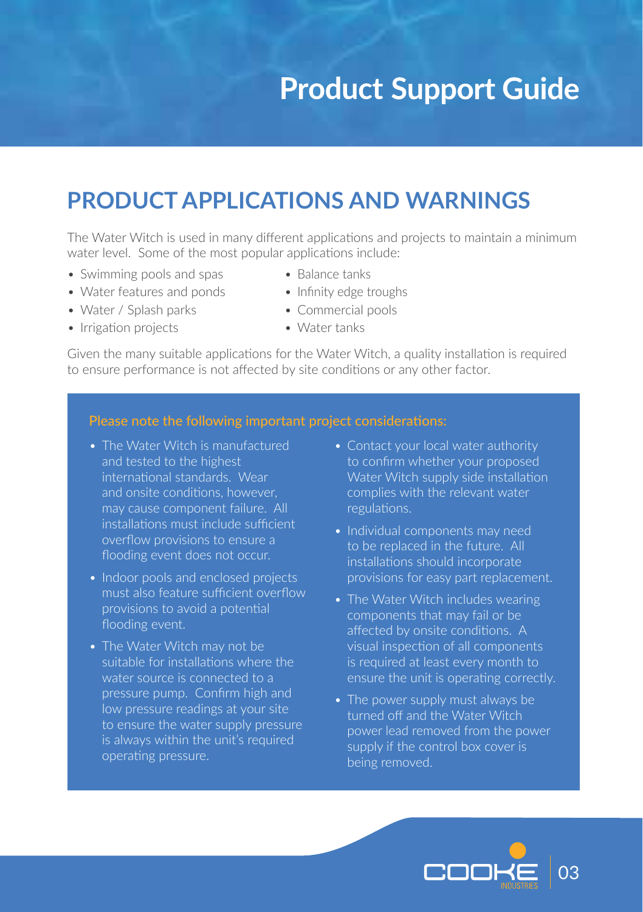### **PRODUCT APPLICATIONS AND WARNINGS**

The Water Witch is used in many different applications and projects to maintain a minimum water level. Some of the most popular applications include:

- Swimming pools and spas Balance tanks
- Water features and ponds Infinity edge troughs
- Water / Splash parks Commercial pools
- Irrigation projects Water tanks
- 
- 
- -

Given the many suitable applications for the Water Witch, a quality installation is required to ensure performance is not affected by site conditions or any other factor.

#### Please note the following important project considerations:

- The Water Witch is manufactured and tested to the highest international standards. Wear and onsite conditions, however, may cause component failure. All installations must include sufficient overflow provisions to ensure a flooding event does not occur.
- Indoor pools and enclosed projects must also feature sufficient overflow provisions to avoid a potential flooding event.
- The Water Witch may not be suitable for installations where the water source is connected to a pressure pump. Confirm high and low pressure readings at your site to ensure the water supply pressure is always within the unit's required operating pressure.
- Contact your local water authority to confirm whether your proposed Water Witch supply side installation complies with the relevant water regulations.
- Individual components may need to be replaced in the future. All installations should incorporate provisions for easy part replacement.
- The Water Witch includes wearing components that may fail or be affected by onsite conditions. A visual inspection of all components is required at least every month to ensure the unit is operating correctly.
- The power supply must always be turned off and the Water Witch power lead removed from the power supply if the control box cover is being removed.

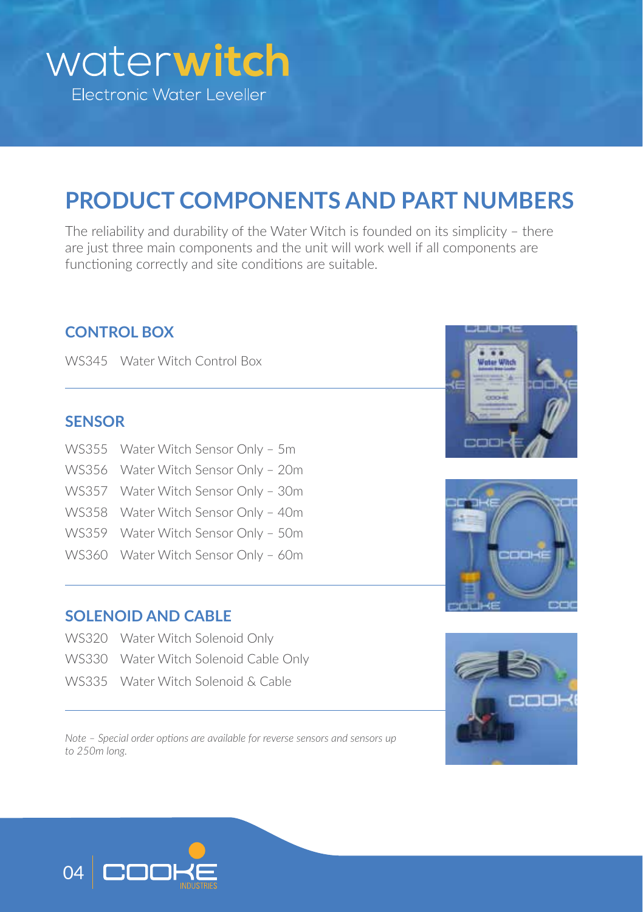

## **PRODUCT COMPONENTS AND PART NUMBERS**

The reliability and durability of the Water Witch is founded on its simplicity – there are just three main components and the unit will work well if all components are functioning correctly and site conditions are suitable.

#### **CONTROL BOX**

WS345 Water Witch Control Box

#### **SENSOR**

WS355 Water Witch Sensor Only – 5m WS356 Water Witch Sensor Only – 20m WS357 Water Witch Sensor Only – 30m WS358 Water Witch Sensor Only – 40m WS359 Water Witch Sensor Only – 50m WS360 Water Witch Sensor Only – 60m

#### **SOLENOID AND CABLE**

- WS320 Water Witch Solenoid Only
- WS330 Water Witch Solenoid Cable Only
- WS335 Water Witch Solenoid & Cable

*Note – Special order options are available for reverse sensors and sensors up to 250m long.*







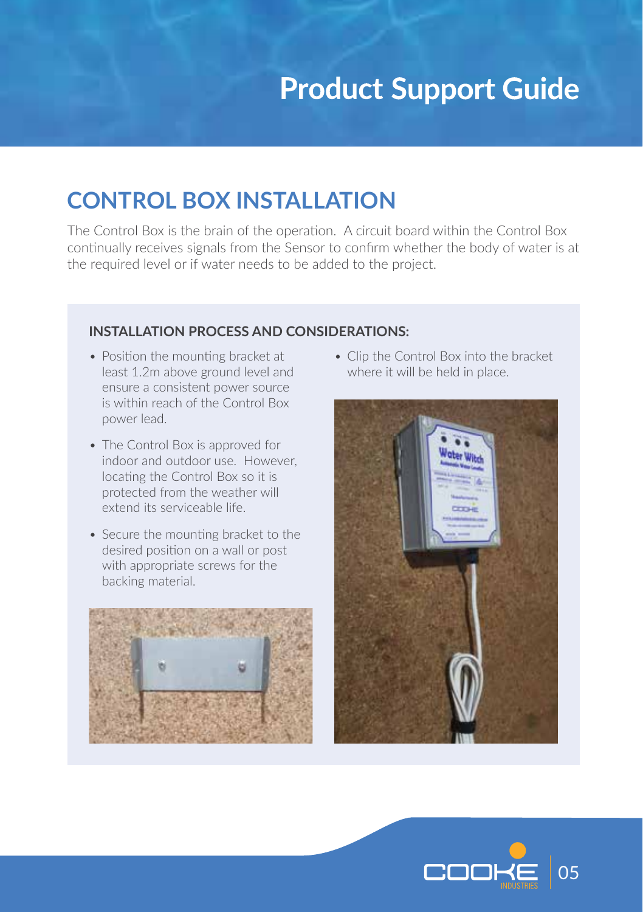### **CONTROL BOX INSTALLATION**

The Control Box is the brain of the operation. A circuit board within the Control Box continually receives signals from the Sensor to confirm whether the body of water is at the required level or if water needs to be added to the project.

#### **INSTALLATION PROCESS AND CONSIDERATIONS:**

- Position the mounting bracket at least 1.2m above ground level and ensure a consistent power source is within reach of the Control Box power lead.
- The Control Box is approved for indoor and outdoor use. However, locating the Control Box so it is protected from the weather will extend its serviceable life.
- Secure the mounting bracket to the desired position on a wall or post with appropriate screws for the backing material.



• Clip the Control Box into the bracket where it will be held in place.



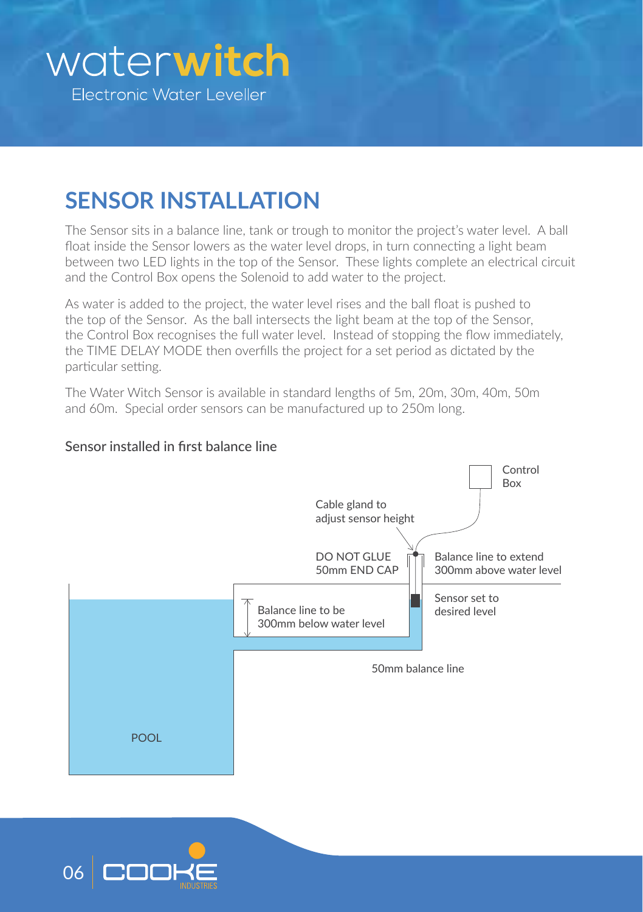### **SENSOR INSTALLATION**

The Sensor sits in a balance line, tank or trough to monitor the project's water level. A ball float inside the Sensor lowers as the water level drops, in turn connecting a light beam between two LED lights in the top of the Sensor. These lights complete an electrical circuit and the Control Box opens the Solenoid to add water to the project.

As water is added to the project, the water level rises and the ball float is pushed to the top of the Sensor. As the ball intersects the light beam at the top of the Sensor, the Control Box recognises the full water level. Instead of stopping the flow immediately, the TIME DELAY MODE then overfills the project for a set period as dictated by the particular setting.

The Water Witch Sensor is available in standard lengths of 5m, 20m, 30m, 40m, 50m and 60m. Special order sensors can be manufactured up to 250m long.



#### Sensor installed in first balance line

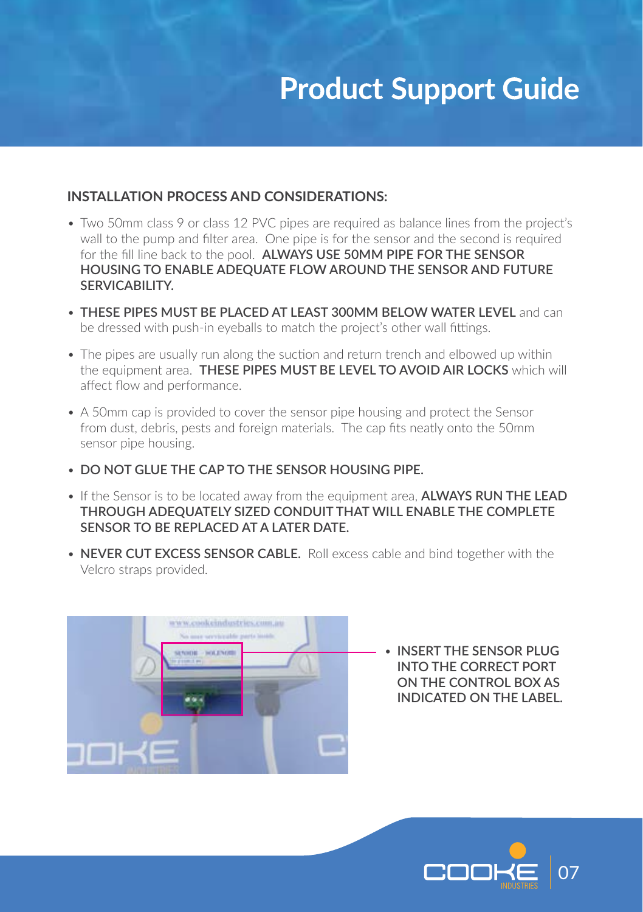#### **INSTALLATION PROCESS AND CONSIDERATIONS:**

- Two 50mm class 9 or class 12 PVC pipes are required as balance lines from the project's wall to the pump and filter area. One pipe is for the sensor and the second is required for the fill line back to the pool. **ALWAYS USE 50MM PIPE FOR THE SENSOR HOUSING TO ENABLE ADEQUATE FLOW AROUND THE SENSOR AND FUTURE SERVICABILITY.**
- **THESE PIPES MUST BE PLACED AT LEAST 300MM BELOW WATER LEVEL** and can be dressed with push-in eyeballs to match the project's other wall fittings.
- The pipes are usually run along the suction and return trench and elbowed up within the equipment area. **THESE PIPES MUST BE LEVEL TO AVOID AIR LOCKS** which will affect flow and performance.
- A 50mm cap is provided to cover the sensor pipe housing and protect the Sensor from dust, debris, pests and foreign materials. The cap fits neatly onto the 50mm sensor pipe housing.
- **DO NOT GLUE THE CAP TO THE SENSOR HOUSING PIPE.**
- If the Sensor is to be located away from the equipment area, **ALWAYS RUN THE LEAD THROUGH ADEQUATELY SIZED CONDUIT THAT WILL ENABLE THE COMPLETE SENSOR TO BE REPLACED AT A LATER DATE.**
- **NEVER CUT EXCESS SENSOR CABLE.** Roll excess cable and bind together with the Velcro straps provided.



• **INSERT THE SENSOR PLUG INTO THE CORRECT PORT ON THE CONTROL BOX AS INDICATED ON THE LABEL.** 

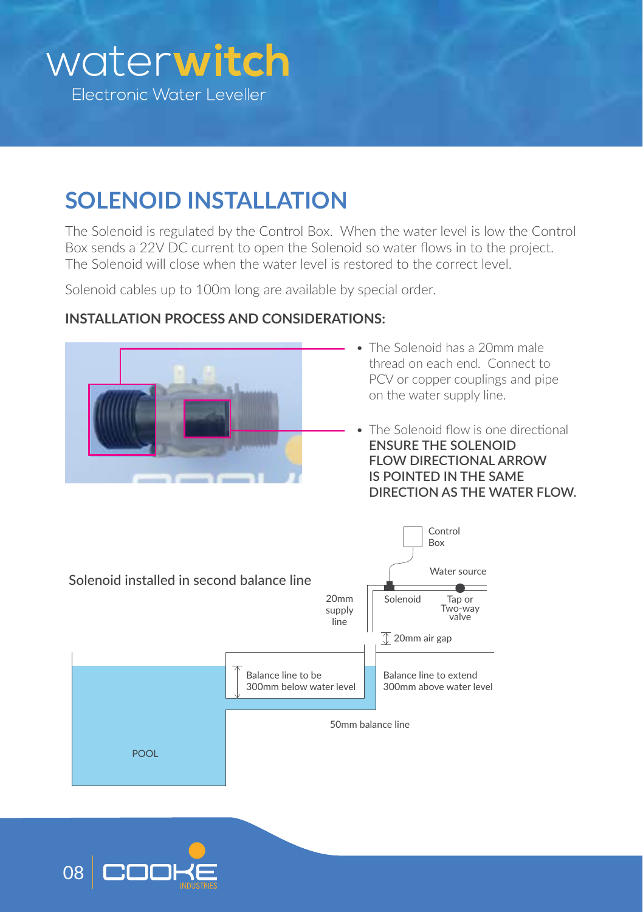# **SOLENOID INSTALLATION**

The Solenoid is regulated by the Control Box. When the water level is low the Control Box sends a 22V DC current to open the Solenoid so water flows in to the project. The Solenoid will close when the water level is restored to the correct level.

Solenoid cables up to 100m long are available by special order.



#### **INSTALLATION PROCESS AND CONSIDERATIONS:**

- The Solenoid has a 20mm male thread on each end. Connect to PCV or copper couplings and pipe on the water supply line.
- The Solenoid flow is one directional **ENSURE THE SOLENOID FLOW DIRECTIONAL ARROW IS POINTED IN THE SAME DIRECTION AS THE WATER FLOW.**



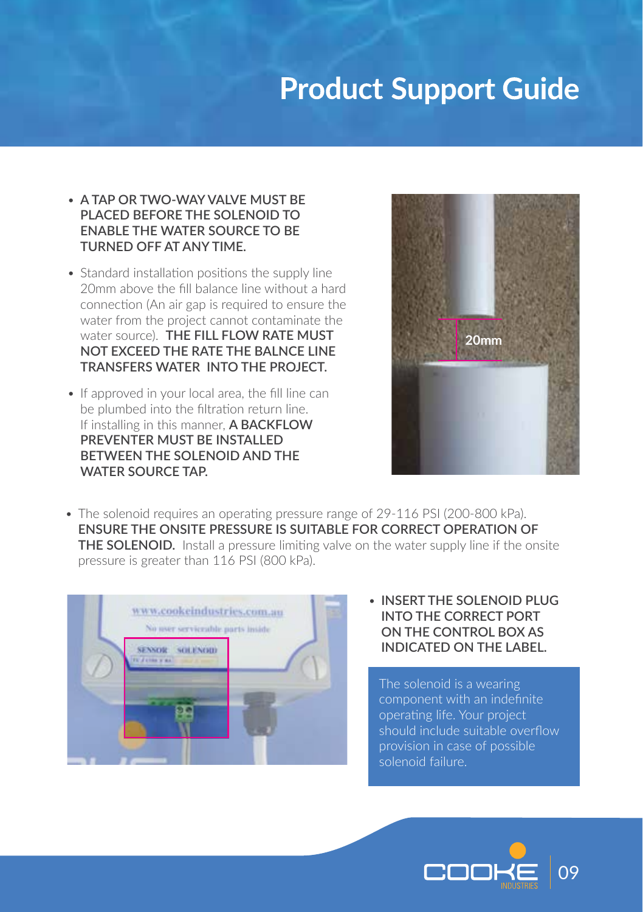- **A TAP OR TWO-WAY VALVE MUST BE PLACED BEFORE THE SOLENOID TO ENABLE THE WATER SOURCE TO BE TURNED OFF AT ANY TIME.**
- Standard installation positions the supply line 20mm above the fill balance line without a hard connection (An air gap is required to ensure the water from the project cannot contaminate the water source). **THE FILL FLOW RATE MUST NOT EXCEED THE RATE THE BALNCE LINE TRANSFERS WATER INTO THE PROJECT.**
- If approved in your local area, the fill line can be plumbed into the filtration return line. If installing in this manner, **A BACKFLOW PREVENTER MUST BE INSTALLED BETWEEN THE SOLENOID AND THE WATER SOURCE TAP.**



• The solenoid requires an operating pressure range of 29-116 PSI (200-800 kPa). **ENSURE THE ONSITE PRESSURE IS SUITABLE FOR CORRECT OPERATION OF THE SOLENOID.** Install a pressure limiting valve on the water supply line if the onsite pressure is greater than 116 PSI (800 kPa).



• **INSERT THE SOLENOID PLUG INTO THE CORRECT PORT ON THE CONTROL BOX AS INDICATED ON THE LABEL.**

The solenoid is a wearing component with an indefinite operating life. Your project should include suitable overflow provision in case of possible solenoid failure.

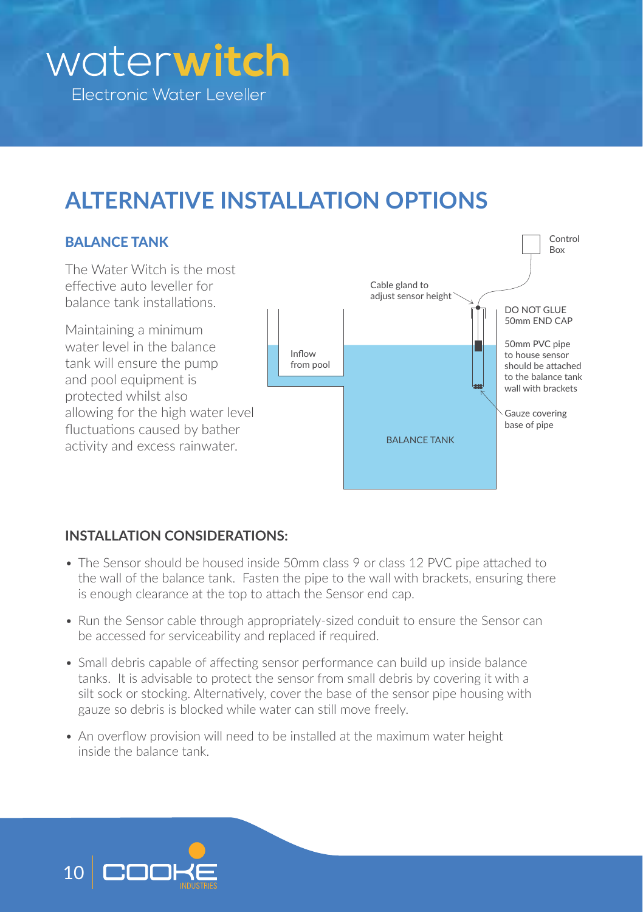# **ALTERNATIVE INSTALLATION OPTIONS**

#### **BALANCE TANK**

The Water Witch is the most effective auto leveller for balance tank installations.

Maintaining a minimum water level in the balance tank will ensure the pump and pool equipment is protected whilst also allowing for the high water level fluctuations caused by bather activity and excess rainwater.



#### **INSTALLATION CONSIDERATIONS:**

- The Sensor should be housed inside 50mm class 9 or class 12 PVC pipe attached to the wall of the balance tank. Fasten the pipe to the wall with brackets, ensuring there is enough clearance at the top to attach the Sensor end cap.
- Run the Sensor cable through appropriately-sized conduit to ensure the Sensor can be accessed for serviceability and replaced if required.
- Small debris capable of affecting sensor performance can build up inside balance tanks. It is advisable to protect the sensor from small debris by covering it with a silt sock or stocking. Alternatively, cover the base of the sensor pipe housing with gauze so debris is blocked while water can still move freely.
- An overflow provision will need to be installed at the maximum water height inside the balance tank.

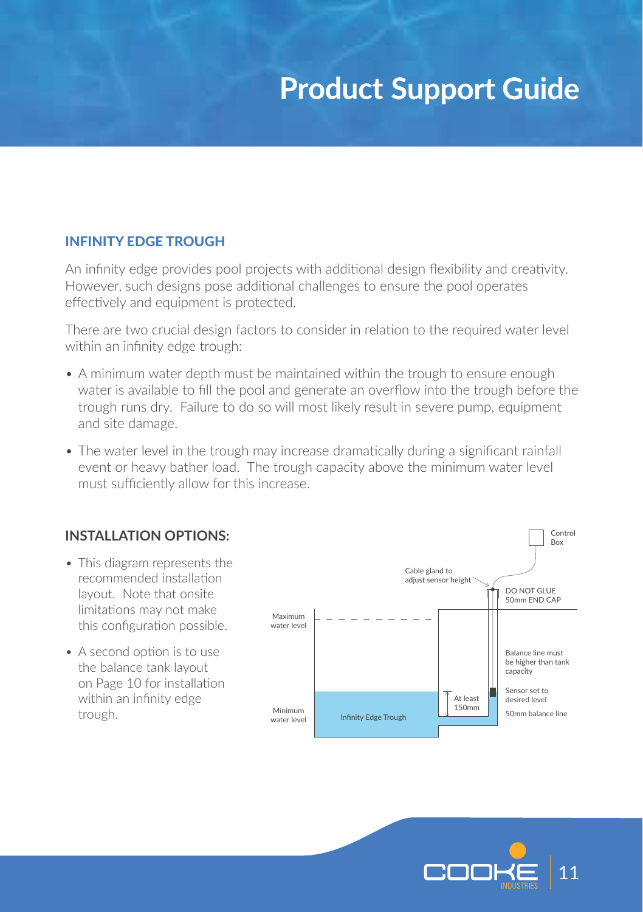#### INFINITY EDGE TROUGH

An infinity edge provides pool projects with additional design flexibility and creativity. However, such designs pose additional challenges to ensure the pool operates effectively and equipment is protected.

There are two crucial design factors to consider in relation to the required water level within an infinity edge trough:

- A minimum water depth must be maintained within the trough to ensure enough water is available to fill the pool and generate an overflow into the trough before the trough runs dry. Failure to do so will most likely result in severe pump, equipment and site damage.
- The water level in the trough may increase dramatically during a significant rainfall event or heavy bather load. The trough capacity above the minimum water level must sufficiently allow for this increase.

#### **INSTALLATION OPTIONS:**

- This diagram represents the recommended installation layout. Note that onsite limitations may not make this configuration possible.
- A second option is to use the balance tank layout on Page 10 for installation within an infinity edge trough.



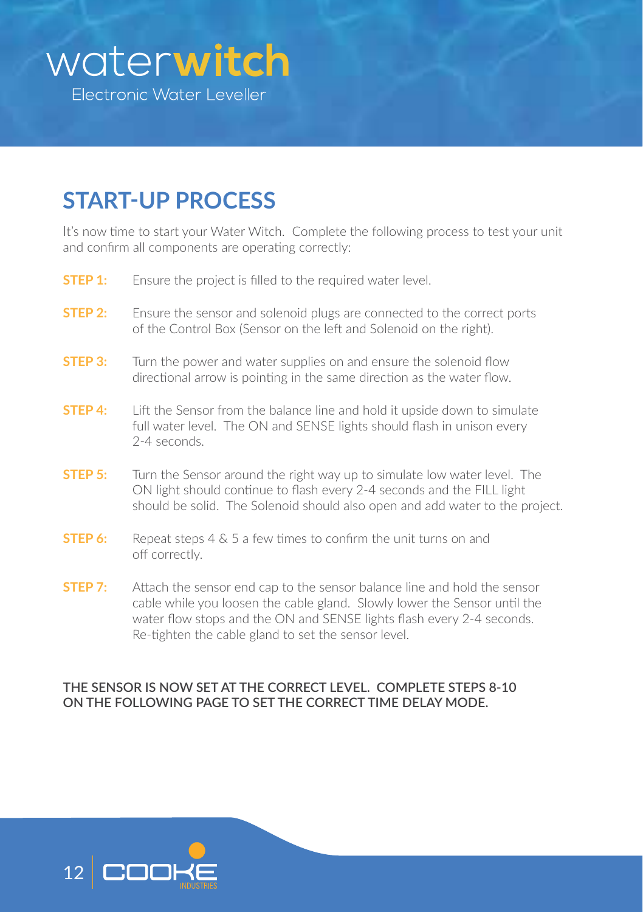

### **START-UP PROCESS**

It's now time to start your Water Witch. Complete the following process to test your unit and confirm all components are operating correctly:

- **STEP 1:** Ensure the project is filled to the required water level.
- **STEP 2:** Ensure the sensor and solenoid plugs are connected to the correct ports of the Control Box (Sensor on the left and Solenoid on the right).
- **STEP 3:** Turn the power and water supplies on and ensure the solenoid flow directional arrow is pointing in the same direction as the water flow.
- **STEP 4:** Lift the Sensor from the balance line and hold it upside down to simulate full water level. The ON and SENSE lights should flash in unison every 2-4 seconds.
- **STEP 5:** Turn the Sensor around the right way up to simulate low water level. The ON light should continue to flash every 2-4 seconds and the FILL light should be solid. The Solenoid should also open and add water to the project.
- **STEP 6:** Repeat steps 4 & 5 a few times to confirm the unit turns on and off correctly.
- **STEP 7:** Attach the sensor end cap to the sensor balance line and hold the sensor cable while you loosen the cable gland. Slowly lower the Sensor until the water flow stops and the ON and SENSE lights flash every 2-4 seconds. Re-tighten the cable gland to set the sensor level.

#### **THE SENSOR IS NOW SET AT THE CORRECT LEVEL. COMPLETE STEPS 8-10 ON THE FOLLOWING PAGE TO SET THE CORRECT TIME DELAY MODE.**

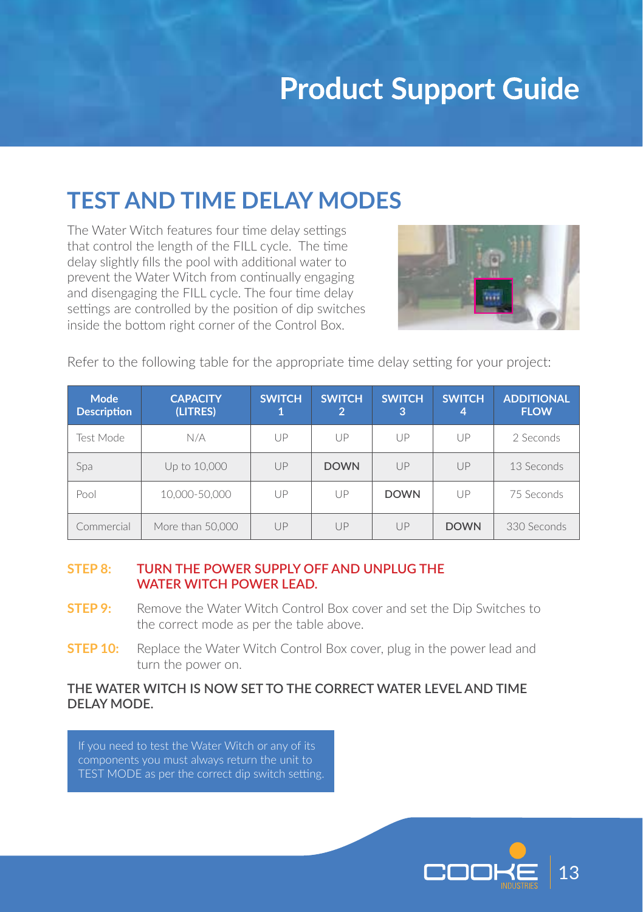### **TEST AND TIME DELAY MODES**

The Water Witch features four time delay settings that control the length of the FILL cycle. The time delay slightly fills the pool with additional water to prevent the Water Witch from continually engaging and disengaging the FILL cycle. The four time delay settings are controlled by the position of dip switches inside the bottom right corner of the Control Box.



Refer to the following table for the appropriate time delay setting for your project:

| Mode<br><b>Description</b> | <b>CAPACITY</b><br>(LITRES) | <b>SWITCH.</b> | <b>SWITCH</b><br>$\overline{2}$ | <b>SWITCH</b><br>3 | <b>SWITCH</b><br>4 | <b>ADDITIONAL</b><br><b>FLOW</b> |
|----------------------------|-----------------------------|----------------|---------------------------------|--------------------|--------------------|----------------------------------|
| Test Mode                  | N/A                         | UP             | UP                              | UP                 | UP                 | 2 Seconds                        |
| Spa                        | Up to 10,000                | UP             | <b>DOWN</b>                     | UP                 | UP                 | 13 Seconds                       |
| Pool                       | 10,000-50,000               | UP             | UP                              | <b>DOWN</b>        | UP                 | 75 Seconds                       |
| Commercial                 | More than 50,000            | UP             | UP                              | UP                 | <b>DOWN</b>        | 330 Seconds                      |

#### **STEP 8: TURN THE POWER SUPPLY OFF AND UNPLUG THE WATER WITCH POWER LEAD.**

- **STEP 9:** Remove the Water Witch Control Box cover and set the Dip Switches to the correct mode as per the table above.
- **STEP 10:** Replace the Water Witch Control Box cover, plug in the power lead and turn the power on.

#### **THE WATER WITCH IS NOW SET TO THE CORRECT WATER LEVEL AND TIME DELAY MODE.**

If you need to test the Water Witch or any of its components you must always return the unit to TEST MODE as per the correct dip switch setting.

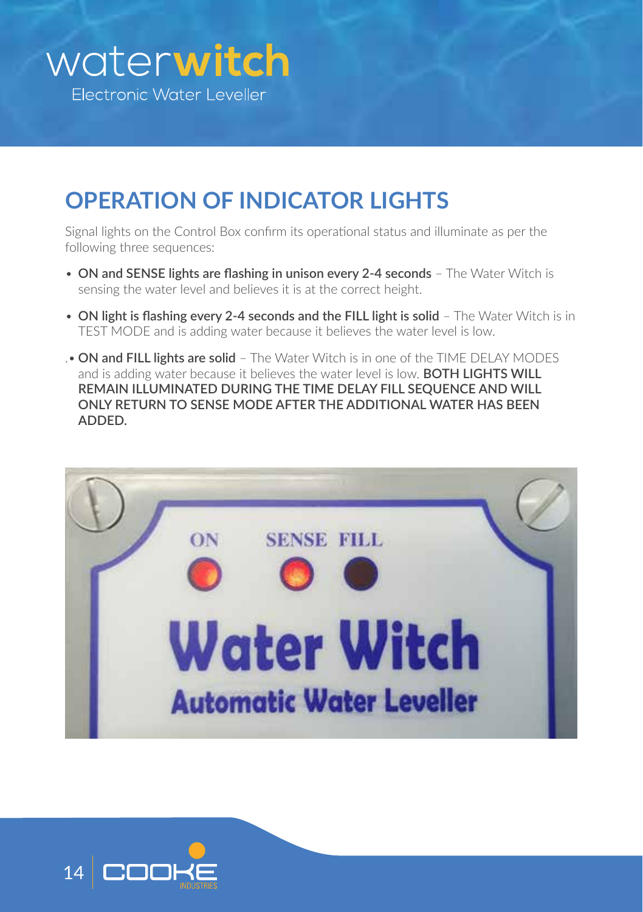## **OPERATION OF INDICATOR LIGHTS**

Signal lights on the Control Box confirm its operational status and illuminate as per the following three sequences:

- **ON and SENSE lights are flashing in unison every 2-4 seconds** The Water Witch is sensing the water level and believes it is at the correct height.
- **ON light is flashing every 2-4 seconds and the FILL light is solid** The Water Witch is in TEST MODE and is adding water because it believes the water level is low.
- .• **ON and FILL lights are solid** The Water Witch is in one of the TIME DELAY MODES and is adding water because it believes the water level is low. **BOTH LIGHTS WILL REMAIN ILLUMINATED DURING THE TIME DELAY FILL SEQUENCE AND WILL ONLY RETURN TO SENSE MODE AFTER THE ADDITIONAL WATER HAS BEEN ADDED.**



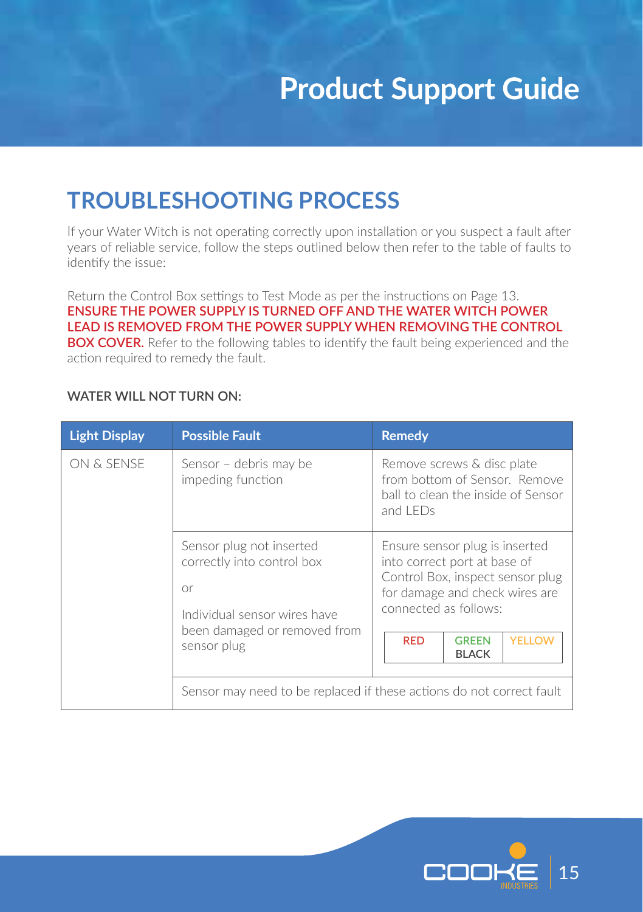### **TROUBLESHOOTING PROCESS**

If your Water Witch is not operating correctly upon installation or you suspect a fault after years of reliable service, follow the steps outlined below then refer to the table of faults to identify the issue:

Return the Control Box settings to Test Mode as per the instructions on Page 13. **ENSURE THE POWER SUPPLY IS TURNED OFF AND THE WATER WITCH POWER LEAD IS REMOVED FROM THE POWER SUPPLY WHEN REMOVING THE CONTROL BOX COVER.** Refer to the following tables to identify the fault being experienced and the action required to remedy the fault.

| <b>Light Display</b> | <b>Possible Fault</b>                                                                        | <b>Remedy</b>                                                                                                                                                 |  |  |
|----------------------|----------------------------------------------------------------------------------------------|---------------------------------------------------------------------------------------------------------------------------------------------------------------|--|--|
| ON & SENSE           | Sensor - debris may be<br>impeding function                                                  | Remove screws & disc plate<br>from bottom of Sensor. Remove<br>ball to clean the inside of Sensor<br>and LFDs                                                 |  |  |
|                      | Sensor plug not inserted<br>correctly into control box<br>or<br>Individual sensor wires have | Ensure sensor plug is inserted<br>into correct port at base of<br>Control Box, inspect sensor plug<br>for damage and check wires are<br>connected as follows: |  |  |
|                      | been damaged or removed from<br>sensor plug                                                  | <b>YELLOW</b><br><b>RED</b><br><b>GRFFN</b><br><b>BLACK</b>                                                                                                   |  |  |
|                      | Sensor may need to be replaced if these actions do not correct fault                         |                                                                                                                                                               |  |  |

#### **WATER WILL NOT TURN ON:**

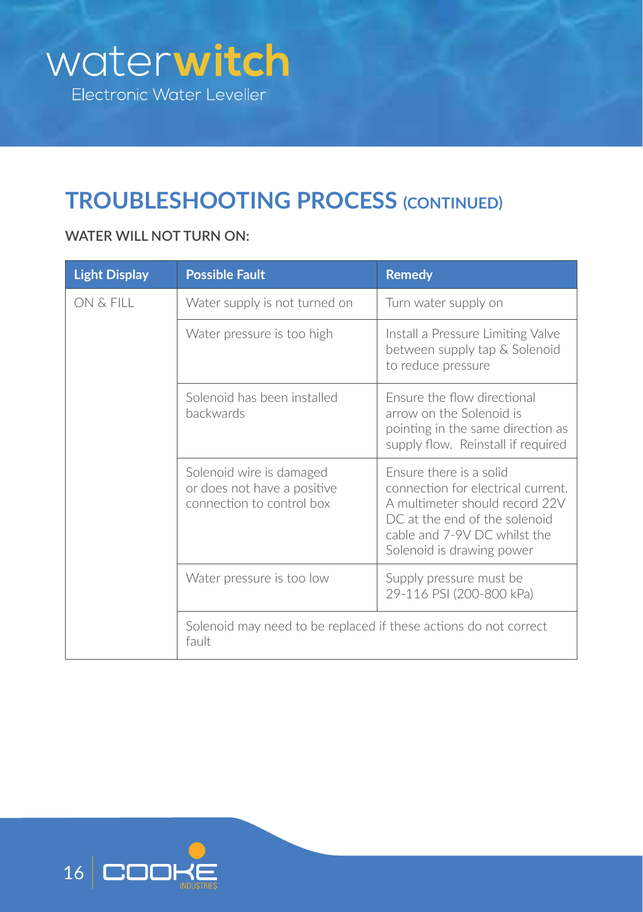

### **TROUBLESHOOTING PROCESS (CONTINUED)**

#### **WATER WILL NOT TURN ON:**

| <b>Light Display</b> | <b>Possible Fault</b>                                                                | <b>Remedy</b>                                                                                                                                                                                 |  |
|----------------------|--------------------------------------------------------------------------------------|-----------------------------------------------------------------------------------------------------------------------------------------------------------------------------------------------|--|
| ON & FILL            | Water supply is not turned on                                                        | Turn water supply on                                                                                                                                                                          |  |
|                      | Water pressure is too high                                                           | Install a Pressure Limiting Valve<br>between supply tap & Solenoid<br>to reduce pressure                                                                                                      |  |
|                      | Solenoid has been installed<br><b>hackwards</b>                                      | Ensure the flow directional<br>arrow on the Solenoid is<br>pointing in the same direction as<br>supply flow. Reinstall if required                                                            |  |
|                      | Solenoid wire is damaged<br>or does not have a positive<br>connection to control box | Ensure there is a solid<br>connection for electrical current.<br>A multimeter should record 22V<br>DC at the end of the solenoid<br>cable and 7-9V DC whilst the<br>Solenoid is drawing power |  |
|                      | Water pressure is too low                                                            | Supply pressure must be<br>29-116 PSI (200-800 kPa)                                                                                                                                           |  |
|                      | Solenoid may need to be replaced if these actions do not correct<br>fault            |                                                                                                                                                                                               |  |

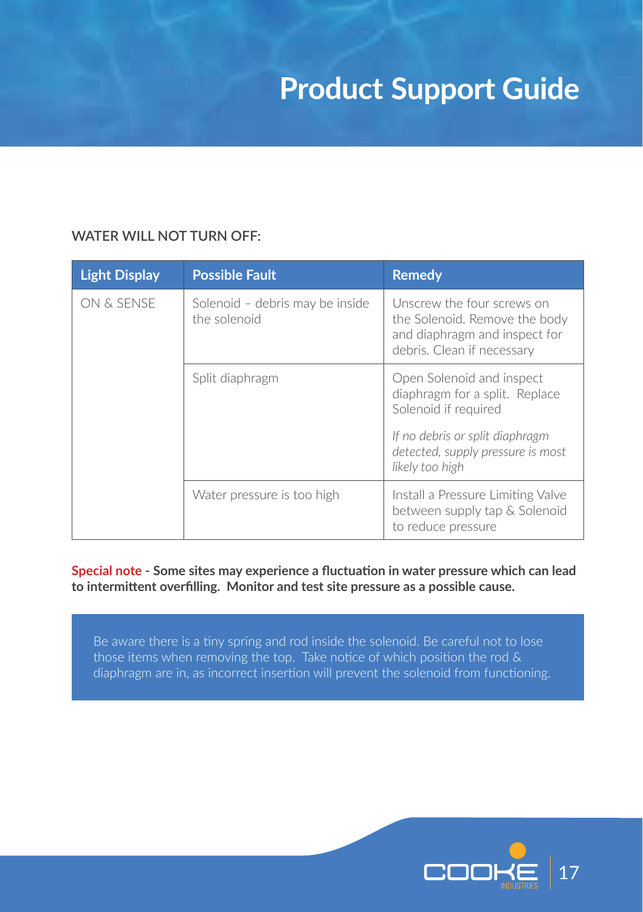#### **WATER WILL NOT TURN OFF:**

| <b>Light Display</b> | <b>Possible Fault</b>                           | <b>Remedy</b>                                                                                                                                                                  |
|----------------------|-------------------------------------------------|--------------------------------------------------------------------------------------------------------------------------------------------------------------------------------|
| ON & SENSE           | Solenoid – debris may be inside<br>the solenoid | Unscrew the four screws on<br>the Solenoid. Remove the body<br>and diaphragm and inspect for<br>debris. Clean if necessary                                                     |
|                      | Split diaphragm                                 | Open Solenoid and inspect<br>diaphragm for a split. Replace<br>Solenoid if required<br>If no debris or split diaphragm<br>detected, supply pressure is most<br>likely too high |
|                      | Water pressure is too high                      | Install a Pressure Limiting Valve<br>between supply tap & Solenoid<br>to reduce pressure                                                                                       |

**Special note - Some sites may experience a fluctuation in water pressure which can lead to intermittent overfilling. Monitor and test site pressure as a possible cause.**

Be aware there is a tiny spring and rod inside the solenoid. Be careful not to lose those items when removing the top. Take notice of which position the rod & diaphragm are in, as incorrect insertion will prevent the solenoid from functioning.

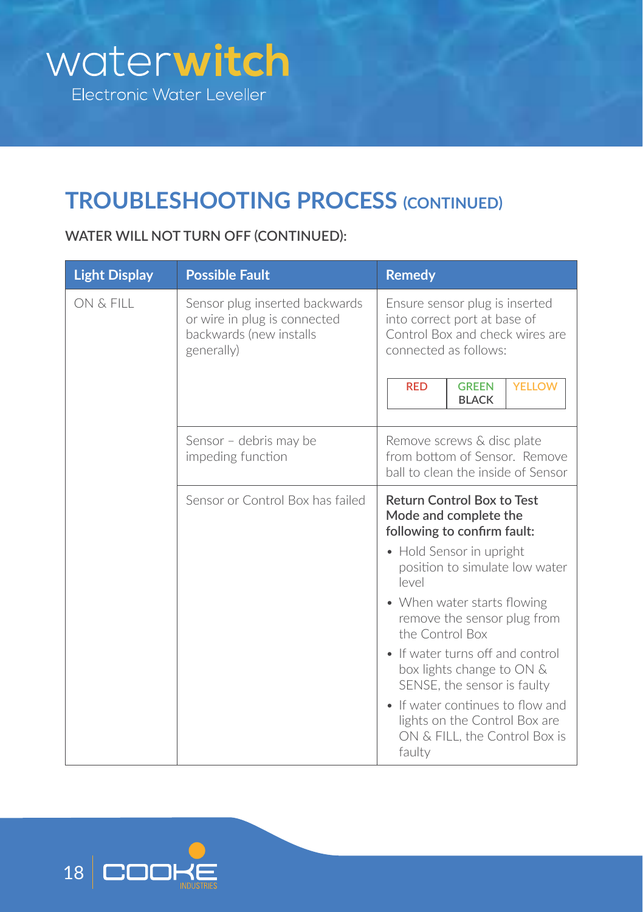

### **TROUBLESHOOTING PROCESS (CONTINUED)**

#### **WATER WILL NOT TURN OFF (CONTINUED):**

| <b>Light Display</b> | <b>Possible Fault</b>                                                                                   | <b>Remedy</b>                                                                                                                                                                                                                                                                                                                                                                                                                                                        |
|----------------------|---------------------------------------------------------------------------------------------------------|----------------------------------------------------------------------------------------------------------------------------------------------------------------------------------------------------------------------------------------------------------------------------------------------------------------------------------------------------------------------------------------------------------------------------------------------------------------------|
| ON & FILL            | Sensor plug inserted backwards<br>or wire in plug is connected<br>backwards (new installs<br>generally) | Ensure sensor plug is inserted<br>into correct port at base of<br>Control Box and check wires are<br>connected as follows:<br><b>YELLOW</b><br><b>RED</b><br><b>GREEN</b><br><b>BLACK</b>                                                                                                                                                                                                                                                                            |
|                      | Sensor – debris may be<br>impeding function                                                             | Remove screws & disc plate<br>from bottom of Sensor. Remove<br>ball to clean the inside of Sensor                                                                                                                                                                                                                                                                                                                                                                    |
|                      | Sensor or Control Box has failed                                                                        | <b>Return Control Box to Test</b><br>Mode and complete the<br>following to confirm fault:<br>• Hold Sensor in upright<br>position to simulate low water<br>$ $ evel<br>• When water starts flowing<br>remove the sensor plug from<br>the Control Box<br>• If water turns off and control<br>box lights change to ON &<br>SENSE, the sensor is faulty<br>• If water continues to flow and<br>lights on the Control Box are<br>ON & FILL, the Control Box is<br>faulty |

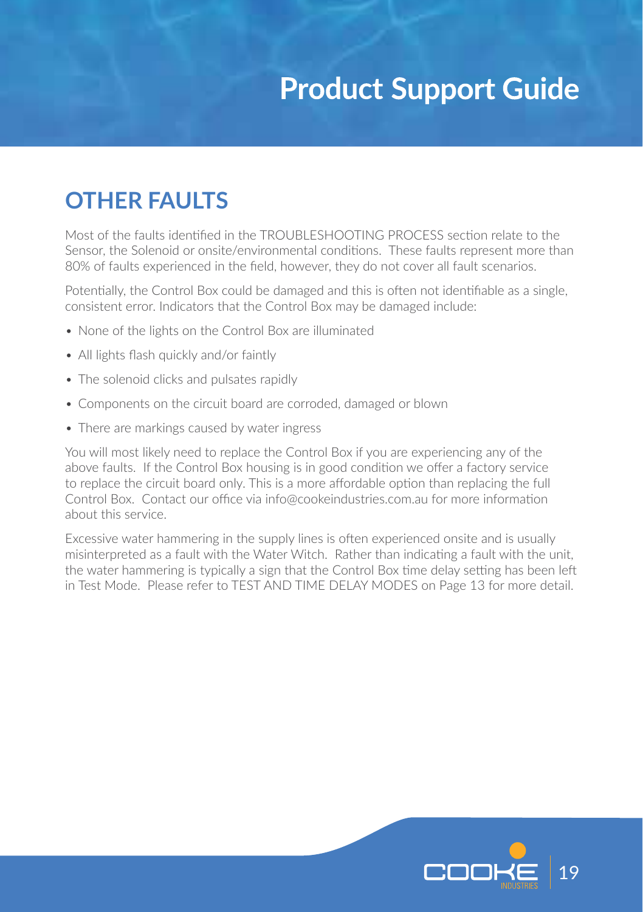### **OTHER FAULTS**

Most of the faults identified in the TROUBLESHOOTING PROCESS section relate to the Sensor, the Solenoid or onsite/environmental conditions. These faults represent more than 80% of faults experienced in the field, however, they do not cover all fault scenarios.

Potentially, the Control Box could be damaged and this is often not identifiable as a single, consistent error. Indicators that the Control Box may be damaged include:

- None of the lights on the Control Box are illuminated
- All lights flash quickly and/or faintly
- The solenoid clicks and pulsates rapidly
- Components on the circuit board are corroded, damaged or blown
- There are markings caused by water ingress

You will most likely need to replace the Control Box if you are experiencing any of the above faults. If the Control Box housing is in good condition we offer a factory service to replace the circuit board only. This is a more affordable option than replacing the full Control Box. Contact our office via info@cookeindustries.com.au for more information about this service.

Excessive water hammering in the supply lines is often experienced onsite and is usually misinterpreted as a fault with the Water Witch. Rather than indicating a fault with the unit, the water hammering is typically a sign that the Control Box time delay setting has been left in Test Mode. Please refer to TEST AND TIME DELAY MODES on Page 13 for more detail.

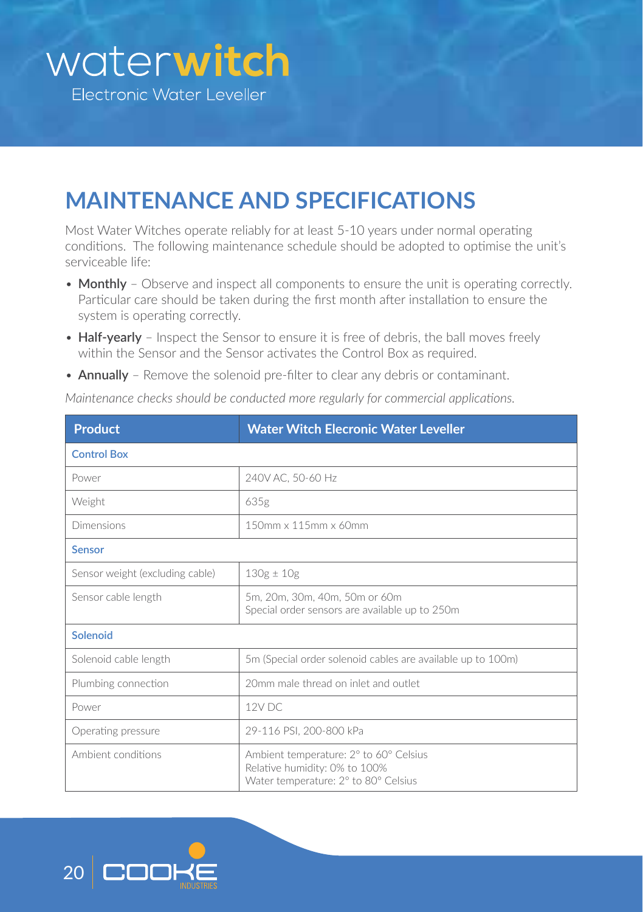### **MAINTENANCE AND SPECIFICATIONS**

Most Water Witches operate reliably for at least 5-10 years under normal operating conditions. The following maintenance schedule should be adopted to optimise the unit's serviceable life:

- **Monthly** Observe and inspect all components to ensure the unit is operating correctly. Particular care should be taken during the first month after installation to ensure the system is operating correctly.
- **Half-yearly** Inspect the Sensor to ensure it is free of debris, the ball moves freely within the Sensor and the Sensor activates the Control Box as required.
- **Annually** Remove the solenoid pre-filter to clear any debris or contaminant.

| Product                         | Water Witch Elecronic Water Leveller                                                                            |
|---------------------------------|-----------------------------------------------------------------------------------------------------------------|
| <b>Control Box</b>              |                                                                                                                 |
| Power                           | 240V AC, 50-60 Hz                                                                                               |
| Weight                          | 635g                                                                                                            |
| Dimensions                      | 150mm x 115mm x 60mm                                                                                            |
| <b>Sensor</b>                   |                                                                                                                 |
| Sensor weight (excluding cable) | $130g \pm 10g$                                                                                                  |
| Sensor cable length             | 5m, 20m, 30m, 40m, 50m or 60m<br>Special order sensors are available up to 250m                                 |
| Solenoid                        |                                                                                                                 |
| Solenoid cable length           | 5m (Special order solenoid cables are available up to 100m)                                                     |
| Plumbing connection             | 20mm male thread on inlet and outlet                                                                            |
| Power                           | 12V DC                                                                                                          |
| Operating pressure              | 29-116 PSI, 200-800 kPa                                                                                         |
| Ambient conditions              | Ambient temperature: 2° to 60° Celsius<br>Relative humidity: 0% to 100%<br>Water temperature: 2° to 80° Celsius |

*Maintenance checks should be conducted more regularly for commercial applications.*

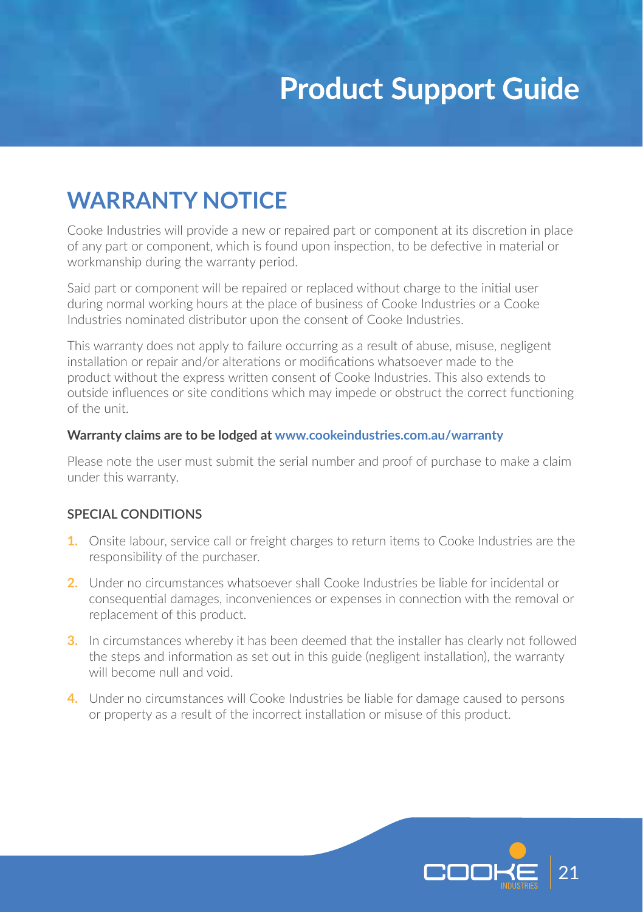### **WARRANTY NOTICE**

Cooke Industries will provide a new or repaired part or component at its discretion in place of any part or component, which is found upon inspection, to be defective in material or workmanship during the warranty period.

Said part or component will be repaired or replaced without charge to the initial user during normal working hours at the place of business of Cooke Industries or a Cooke Industries nominated distributor upon the consent of Cooke Industries.

This warranty does not apply to failure occurring as a result of abuse, misuse, negligent installation or repair and/or alterations or modifications whatsoever made to the product without the express written consent of Cooke Industries. This also extends to outside influences or site conditions which may impede or obstruct the correct functioning of the unit.

#### **Warranty claims are to be lodged at www.cookeindustries.com.au/warranty**

Please note the user must submit the serial number and proof of purchase to make a claim under this warranty.

#### **SPECIAL CONDITIONS**

- **1.** Onsite labour, service call or freight charges to return items to Cooke Industries are the responsibility of the purchaser.
- **2.** Under no circumstances whatsoever shall Cooke Industries be liable for incidental or consequential damages, inconveniences or expenses in connection with the removal or replacement of this product.
- **3.** In circumstances whereby it has been deemed that the installer has clearly not followed the steps and information as set out in this guide (negligent installation), the warranty will become null and void.
- **4.** Under no circumstances will Cooke Industries be liable for damage caused to persons or property as a result of the incorrect installation or misuse of this product.